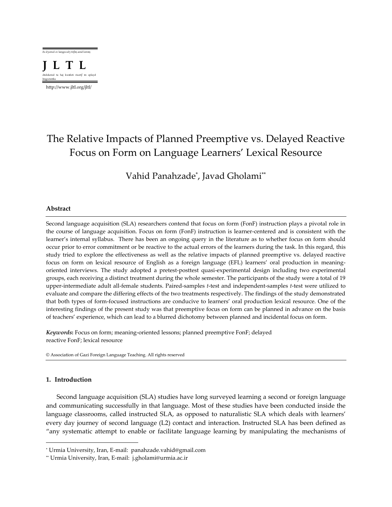

http://www.jltl.org/jltl/

# The Relative Impacts of Planned Preemptive vs. Delayed Reactive Focus on Form on Language Learners' Lexical Resource

Vahid Panahzade\* , Javad Gholami\*\*

## **Abstract**

Second language acquisition (SLA) researchers contend that focus on form (FonF) instruction plays a pivotal role in the course of language acquisition. Focus on form (FonF) instruction is learner-centered and is consistent with the learner's internal syllabus. There has been an ongoing query in the literature as to whether focus on form should occur prior to error commitment or be reactive to the actual errors of the learners during the task. In this regard, this study tried to explore the effectiveness as well as the relative impacts of planned preemptive vs. delayed reactive focus on form on lexical resource of English as a foreign language (EFL) learners' oral production in meaningoriented interviews. The study adopted a pretest-posttest quasi-experimental design including two experimental groups, each receiving a distinct treatment during the whole semester. The participants of the study were a total of 19 upper-intermediate adult all-female students. Paired-samples *t*-test and independent-samples *t*-test were utilized to evaluate and compare the differing effects of the two treatments respectively. The findings of the study demonstrated that both types of form-focused instructions are conducive to learners' oral production lexical resource. One of the interesting findings of the present study was that preemptive focus on form can be planned in advance on the basis of teachers' experience, which can lead to a blurred dichotomy between planned and incidental focus on form.

*Keywords***:** Focus on form; meaning-oriented lessons; planned preemptive FonF; delayed reactive FonF; lexical resource

© Association of Gazi Foreign Language Teaching. All rights reserved

## **1. Introduction**

 $\overline{\phantom{a}}$ 

Second language acquisition (SLA) studies have long surveyed learning a second or foreign language and communicating successfully in that language. Most of these studies have been conducted inside the language classrooms, called instructed SLA, as opposed to naturalistic SLA which deals with learners' every day journey of second language (L2) contact and interaction. Instructed SLA has been defined as "any systematic attempt to enable or facilitate language learning by manipulating the mechanisms of

<sup>\*</sup> Urmia University, Iran, E-mail: panahzade.vahid@gmail.com

<sup>\*\*</sup> Urmia University, Iran, E-mail: j.gholami@urmia.ac.ir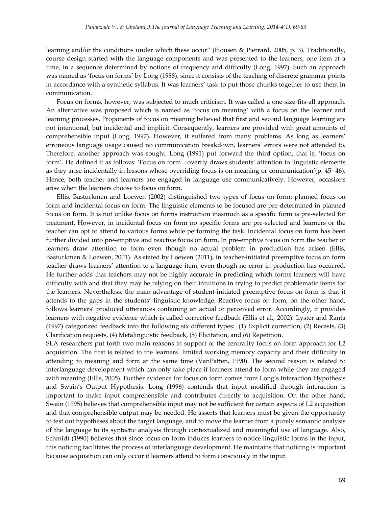learning and/or the conditions under which these occur" (Housen & Pierrard, 2005, p. 3). Traditionally, course design started with the language components and was presented to the learners, one item at a time, in a sequence determined by notions of frequency and difficulty (Long, 1997). Such an approach was named as 'focus on forms' by Long (1988), since it consists of the teaching of discrete grammar points in accordance with a synthetic syllabus. It was learners' task to put those chunks together to use them in communication.

Focus on forms, however, was subjected to much criticism. It was called a one-size-fits-all approach. An alternative was proposed which is named as 'focus on meaning' with a focus on the learner and learning processes. Proponents of focus on meaning believed that first and second language learning are not intentional, but incidental and implicit. Consequently, learners are provided with great amounts of comprehensible input (Long, 1997). However, it suffered from many problems. As long as learners' erroneous language usage caused no communication breakdown, learners' errors were not attended to. Therefore, another approach was sought. Long (1991) put forward the third option, that is, 'focus on form'. He defined it as follows: 'Focus on form…overtly draws students' attention to linguistic elements as they arise incidentally in lessons whose overriding focus is on meaning or communication'(p. 45- 46). Hence, both teacher and learners are engaged in language use communicatively. However, occasions arise when the learners choose to focus on form.

Ellis, Basturkmen and Loewen (2002) distinguished two types of focus on form: planned focus on form and incidental focus on form. The linguistic elements to be focused are pre-determined in planned focus on form. It is not unlike focus on forms instruction inasmuch as a specific form is pre-selected for treatment. However, in incidental focus on form no specific forms are pre-selected and learners or the teacher can opt to attend to various forms while performing the task. Incidental focus on form has been further divided into pre-emptive and reactive focus on form. In pre-emptive focus on form the teacher or learners draw attention to form even though no actual problem in production has arisen (Ellis, Basturkmen & Loewen, 2001). As stated by Loewen (2011), in teacher-initiated preemptive focus on form teacher draws learners' attention to a language item, even though no error in production has occurred. He further adds that teachers may not be highly accurate in predicting which forms learners will have difficulty with and that they may be relying on their intuitions in trying to predict problematic items for the learners. Nevertheless, the main advantage of student-initiated preemptive focus on form is that it attends to the gaps in the students' linguistic knowledge. Reactive focus on form, on the other hand, follows learners' produced utterances containing an actual or perceived error. Accordingly, it provides learners with negative evidence which is called corrective feedback (Ellis et al., 2002). Lyster and Ranta (1997) categorized feedback into the following six different types: (1) Explicit correction, (2) Recasts, (3) Clarification requests, (4) Metalinguistic feedback, (5) Elicitation, and (6) Repetition.

SLA researchers put forth two main reasons in support of the centrality focus on form approach for L2 acquisition. The first is related to the learners` limited working memory capacity and their difficulty in attending to meaning and form at the same time (VanPatten, 1990). The second reason is related to interlanguage development which can only take place if learners attend to form while they are engaged with meaning (Ellis, 2005). Further evidence for focus on form comes from Long's Interaction Hypothesis and Swain's Output Hypothesis. Long (1996) contends that input modified through interaction is important to make input comprehensible and contributes directly to acquisition. On the other hand, Swain (1995) believes that comprehensible input may not be sufficient for certain aspects of L2 acquisition and that comprehensible output may be needed. He asserts that learners must be given the opportunity to test out hypotheses about the target language, and to move the learner from a purely semantic analysis of the language to its syntactic analysis through contextualized and meaningful use of language. Also, Schmidt (1990) believes that since focus on form induces learners to notice linguistic forms in the input, this noticing facilitates the process of interlanguage development. He maintains that noticing is important because acquisition can only occur if learners attend to form consciously in the input.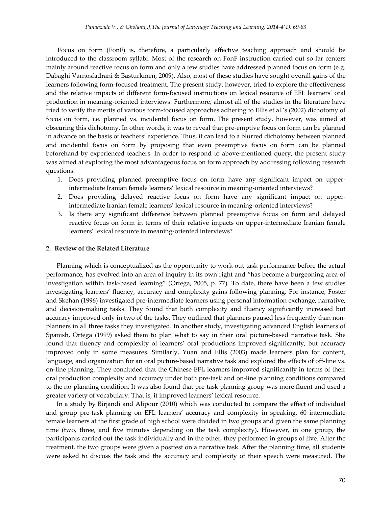Focus on form (FonF) is, therefore, a particularly effective teaching approach and should be introduced to the classroom syllabi. Most of the research on FonF instruction carried out so far centers mainly around reactive focus on form and only a few studies have addressed planned focus on form (e.g. Dabaghi Varnosfadrani & Basturkmen, 2009). Also, most of these studies have sought overall gains of the learners following form-focused treatment. The present study, however, tried to explore the effectiveness and the relative impacts of different form-focused instructions on lexical resource of EFL learners' oral production in meaning-oriented interviews. Furthermore, almost all of the studies in the literature have tried to verify the merits of various form-focused approaches adhering to Ellis et al.'s (2002) dichotomy of focus on form, i.e. planned vs. incidental focus on form. The present study, however, was aimed at obscuring this dichotomy. In other words, it was to reveal that pre-emptive focus on form can be planned in advance on the basis of teachers' experience. Thus, it can lead to a blurred dichotomy between planned and incidental focus on form by proposing that even preemptive focus on form can be planned beforehand by experienced teachers. In order to respond to above-mentioned query, the present study was aimed at exploring the most advantageous focus on form approach by addressing following research questions:

- 1. Does providing planned preemptive focus on form have any significant impact on upperintermediate Iranian female learners' lexical resource in meaning-oriented interviews?
- 2. Does providing delayed reactive focus on form have any significant impact on upperintermediate Iranian female learners' lexical resource in meaning-oriented interviews?
- 3. Is there any significant difference between planned preemptive focus on form and delayed reactive focus on form in terms of their relative impacts on upper-intermediate Iranian female learners' lexical resource in meaning-oriented interviews?

#### **2. Review of the Related Literature**

Planning which is conceptualized as the opportunity to work out task performance before the actual performance, has evolved into an area of inquiry in its own right and "has become a burgeoning area of investigation within task-based learning" (Ortega, 2005, p. 77). To date, there have been a few studies investigating learners' fluency, accuracy and complexity gains following planning. For instance, Foster and Skehan (1996) investigated pre-intermediate learners using personal information exchange, narrative, and decision-making tasks. They found that both complexity and fluency significantly increased but accuracy improved only in two of the tasks. They outlined that planners paused less frequently than nonplanners in all three tasks they investigated. In another study, investigating advanced English learners of Spanish, Ortega (1999) asked them to plan what to say in their oral picture-based narrative task. She found that fluency and complexity of learners' oral productions improved significantly, but accuracy improved only in some measures. Similarly, Yuan and Ellis (2003) made learners plan for content, language, and organization for an oral picture-based narrative task and explored the effects of off-line vs. on-line planning. They concluded that the Chinese EFL learners improved significantly in terms of their oral production complexity and accuracy under both pre-task and on-line planning conditions compared to the no-planning condition. It was also found that pre-task planning group was more fluent and used a greater variety of vocabulary. That is, it improved learners' lexical resource.

In a study by Birjandi and Alipour (2010) which was conducted to compare the effect of individual and group pre-task planning on EFL learners' accuracy and complexity in speaking, 60 intermediate female learners at the first grade of high school were divided in two groups and given the same planning time (two, three, and five minutes depending on the task complexity). However, in one group, the participants carried out the task individually and in the other, they performed in groups of five. After the treatment, the two groups were given a posttest on a narrative task. After the planning time, all students were asked to discuss the task and the accuracy and complexity of their speech were measured. The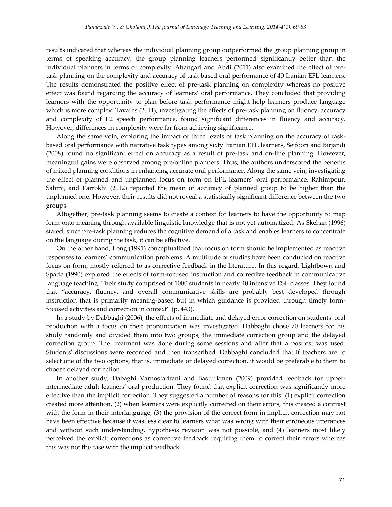results indicated that whereas the individual planning group outperformed the group planning group in terms of speaking accuracy, the group planning learners performed significantly better than the individual planners in terms of complexity. Ahangari and Abdi (2011) also examined the effect of pretask planning on the complexity and accuracy of task-based oral performance of 40 Iranian EFL learners. The results demonstrated the positive effect of pre-task planning on complexity whereas no positive effect was found regarding the accuracy of learners' oral performance. They concluded that providing learners with the opportunity to plan before task performance might help learners produce language which is more complex. Tavares (2011), investigating the effects of pre-task planning on fluency, accuracy and complexity of L2 speech performance, found significant differences in fluency and accuracy. However, differences in complexity were far from achieving significance.

Along the same vein, exploring the impact of three levels of task planning on the accuracy of taskbased oral performance with narrative task types among sixty Iranian EFL learners, Seifoori and Birjandi (2008) found no significant effect on accuracy as a result of pre-task and on-line planning. However, meaningful gains were observed among pre/online planners. Thus, the authors underscored the benefits of mixed planning conditions in enhancing accurate oral performance. Along the same vein, investigating the effect of planned and unplanned focus on form on EFL learners' oral performance, Rahimpour, Salimi, and Farrokhi (2012) reported the mean of accuracy of planned group to be higher than the unplanned one. However, their results did not reveal a statistically significant difference between the two groups.

Altogether, pre-task planning seems to create a context for learners to have the opportunity to map form onto meaning through available linguistic knowledge that is not yet automatized. As Skehan (1996) stated, since pre-task planning reduces the cognitive demand of a task and enables learners to concentrate on the language during the task, it can be effective.

On the other hand, Long (1991) conceptualized that focus on form should be implemented as reactive responses to learners' communication problems. A multitude of studies have been conducted on reactive focus on form, mostly referred to as corrective feedback in the literature. In this regard, Lightbown and Spada (1990) explored the effects of form-focused instruction and corrective feedback in communicative language teaching. Their study comprised of 1000 students in nearly 40 intensive ESL classes. They found that "accuracy, fluency, and overall communicative skills are probably best developed through instruction that is primarily meaning-based but in which guidance is provided through timely formfocused activities and correction in context" (p. 443).

In a study by Dabbaghi (2006), the effects of immediate and delayed error correction on students' oral production with a focus on their pronunciation was investigated. Dabbaghi chose 70 learners for his study randomly and divided them into two groups, the immediate correction group and the delayed correction group. The treatment was done during some sessions and after that a posttest was used. Students' discussions were recorded and then transcribed. Dabbaghi concluded that if teachers are to select one of the two options, that is, immediate or delayed correction, it would be preferable to them to choose delayed correction.

In another study, Dabaghi Varnosfadrani and Basturkmen (2009) provided feedback for upperintermediate adult learners' oral production. They found that explicit correction was significantly more effective than the implicit correction. They suggested a number of reasons for this: (1) explicit correction created more attention, (2) when learners were explicitly corrected on their errors, this created a contrast with the form in their interlanguage, (3) the provision of the correct form in implicit correction may not have been effective because it was less clear to learners what was wrong with their erroneous utterances and without such understanding, hypothesis revision was not possible, and (4) learners most likely perceived the explicit corrections as corrective feedback requiring them to correct their errors whereas this was not the case with the implicit feedback.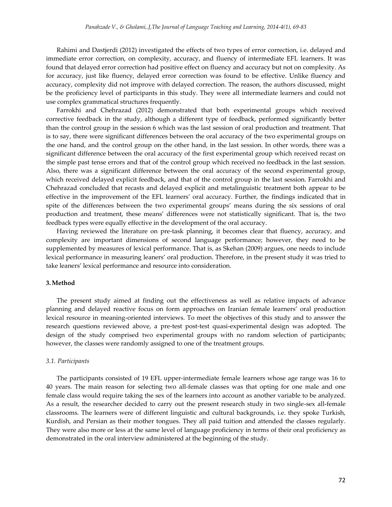Rahimi and Dastjerdi (2012) investigated the effects of two types of error correction, i.e. delayed and immediate error correction, on complexity, accuracy, and fluency of intermediate EFL learners. It was found that delayed error correction had positive effect on fluency and accuracy but not on complexity. As for accuracy, just like fluency, delayed error correction was found to be effective. Unlike fluency and accuracy, complexity did not improve with delayed correction. The reason, the authors discussed, might be the proficiency level of participants in this study. They were all intermediate learners and could not use complex grammatical structures frequently.

Farrokhi and Chehrazad (2012) demonstrated that both experimental groups which received corrective feedback in the study, although a different type of feedback, performed significantly better than the control group in the session 6 which was the last session of oral production and treatment. That is to say, there were significant differences between the oral accuracy of the two experimental groups on the one hand, and the control group on the other hand, in the last session. In other words, there was a significant difference between the oral accuracy of the first experimental group which received recast on the simple past tense errors and that of the control group which received no feedback in the last session. Also, there was a significant difference between the oral accuracy of the second experimental group, which received delayed explicit feedback, and that of the control group in the last session. Farrokhi and Chehrazad concluded that recasts and delayed explicit and metalinguistic treatment both appear to be effective in the improvement of the EFL learners' oral accuracy. Further, the findings indicated that in spite of the differences between the two experimental groups' means during the six sessions of oral production and treatment, these means' differences were not statistically significant. That is, the two feedback types were equally effective in the development of the oral accuracy.

Having reviewed the literature on pre-task planning, it becomes clear that fluency, accuracy, and complexity are important dimensions of second language performance; however, they need to be supplemented by measures of lexical performance. That is, as Skehan (2009) argues, one needs to include lexical performance in measuring leaners' oral production. Therefore, in the present study it was tried to take leaners' lexical performance and resource into consideration.

### **3.Method**

The present study aimed at finding out the effectiveness as well as relative impacts of advance planning and delayed reactive focus on form approaches on Iranian female learners' oral production lexical resource in meaning-oriented interviews. To meet the objectives of this study and to answer the research questions reviewed above, a pre-test post-test quasi-experimental design was adopted. The design of the study comprised two experimental groups with no random selection of participants; however, the classes were randomly assigned to one of the treatment groups.

#### *3.1. Participants*

The participants consisted of 19 EFL upper-intermediate female learners whose age range was 16 to 40 years. The main reason for selecting two all-female classes was that opting for one male and one female class would require taking the sex of the learners into account as another variable to be analyzed. As a result, the researcher decided to carry out the present research study in two single-sex all-female classrooms. The learners were of different linguistic and cultural backgrounds, i.e. they spoke Turkish, Kurdish, and Persian as their mother tongues. They all paid tuition and attended the classes regularly. They were also more or less at the same level of language proficiency in terms of their oral proficiency as demonstrated in the oral interview administered at the beginning of the study.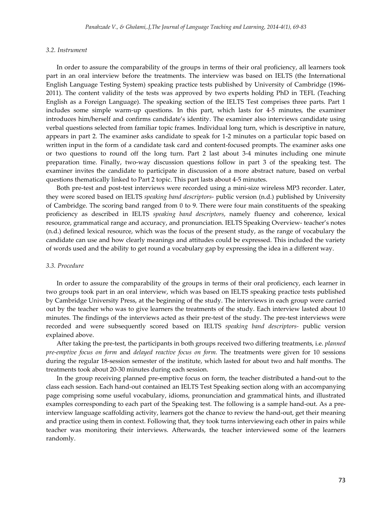## *3.2. Instrument*

In order to assure the comparability of the groups in terms of their oral proficiency, all learners took part in an oral interview before the treatments. The interview was based on IELTS (the International English Language Testing System) speaking practice tests published by University of Cambridge (1996- 2011). The content validity of the tests was approved by two experts holding PhD in TEFL (Teaching English as a Foreign Language). The speaking section of the IELTS Test comprises three parts. Part 1 includes some simple warm-up questions. In this part, which lasts for 4-5 minutes, the examiner introduces him/herself and confirms candidate's identity. The examiner also interviews candidate using verbal questions selected from familiar topic frames. Individual long turn, which is descriptive in nature, appears in part 2. The examiner asks candidate to speak for 1-2 minutes on a particular topic based on written input in the form of a candidate task card and content-focused prompts. The examiner asks one or two questions to round off the long turn. Part 2 last about 3-4 minutes including one minute preparation time. Finally, two-way discussion questions follow in part 3 of the speaking test. The examiner invites the candidate to participate in discussion of a more abstract nature, based on verbal questions thematically linked to Part 2 topic. This part lasts about 4-5 minutes.

Both pre-test and post-test interviews were recorded using a mini-size wireless MP3 recorder. Later, they were scored based on IELTS *speaking band descriptors*- public version (n.d.) published by University of Cambridge. The scoring band ranged from 0 to 9. There were four main constituents of the speaking proficiency as described in IELTS *speaking band descriptors*, namely fluency and coherence, lexical resource, grammatical range and accuracy, and pronunciation. IELTS Speaking Overview- teacher's notes (n.d.) defined lexical resource, which was the focus of the present study, as the range of vocabulary the candidate can use and how clearly meanings and attitudes could be expressed. This included the variety of words used and the ability to get round a vocabulary gap by expressing the idea in a different way.

#### *3.3. Procedure*

In order to assure the comparability of the groups in terms of their oral proficiency, each learner in two groups took part in an oral interview, which was based on IELTS speaking practice tests published by Cambridge University Press, at the beginning of the study. The interviews in each group were carried out by the teacher who was to give learners the treatments of the study. Each interview lasted about 10 minutes. The findings of the interviews acted as their pre-test of the study. The pre-test interviews were recorded and were subsequently scored based on IELTS *speaking band descriptors-* public version explained above.

After taking the pre-test, the participants in both groups received two differing treatments, i.e. *planned pre-emptive focus on form* and *delayed reactive focus on form.* The treatments were given for 10 sessions during the regular 18-session semester of the institute, which lasted for about two and half months. The treatments took about 20-30 minutes during each session.

In the group receiving planned pre-emptive focus on form, the teacher distributed a hand-out to the class each session. Each hand-out contained an IELTS Test Speaking section along with an accompanying page comprising some useful vocabulary, idioms, pronunciation and grammatical hints, and illustrated examples corresponding to each part of the Speaking test. The following is a sample hand-out. As a preinterview language scaffolding activity, learners got the chance to review the hand-out, get their meaning and practice using them in context. Following that, they took turns interviewing each other in pairs while teacher was monitoring their interviews. Afterwards, the teacher interviewed some of the learners randomly.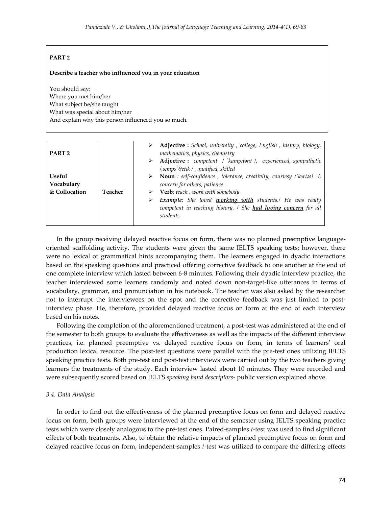# **PART 2**

## **Describe a teacher who influenced you in your education**

You should say: Where you met him/her What subject he/she taught What was special about him/her And explain why this person influenced you so much.

| PART <sub>2</sub>    |         | Adjective : School, university, college, English, history, biology,<br>mathematics, physics, chemistry                                                                                                                   |
|----------------------|---------|--------------------------------------------------------------------------------------------------------------------------------------------------------------------------------------------------------------------------|
| Useful<br>Vocabulary |         | Adjective : competent / `kampitant /, experienced, sympathetic<br>⋗<br>/,simpa`Oetik / , qualified, skilled<br>Noun : self-confidence, tolerance, creativity, courtesy / k3rtasi /,<br>➤<br>concern for others, patience |
| & Collocation        | Teacher | Verb: teach, work with somebody<br><b>Example:</b> She loved <b>working with</b> students./ He was really<br>⋗<br>competent in teaching history. / She had loving concern for all<br>students.                           |

In the group receiving delayed reactive focus on form, there was no planned preemptive languageoriented scaffolding activity. The students were given the same IELTS speaking tests; however, there were no lexical or grammatical hints accompanying them. The learners engaged in dyadic interactions based on the speaking questions and practiced offering corrective feedback to one another at the end of one complete interview which lasted between 6-8 minutes. Following their dyadic interview practice, the teacher interviewed some learners randomly and noted down non-target-like utterances in terms of vocabulary, grammar, and pronunciation in his notebook. The teacher was also asked by the researcher not to interrupt the interviewees on the spot and the corrective feedback was just limited to postinterview phase. He, therefore, provided delayed reactive focus on form at the end of each interview based on his notes.

Following the completion of the aforementioned treatment, a post-test was administered at the end of the semester to both groups to evaluate the effectiveness as well as the impacts of the different interview practices, i.e. planned preemptive vs. delayed reactive focus on form, in terms of learners' oral production lexical resource. The post-test questions were parallel with the pre-test ones utilizing IELTS speaking practice tests. Both pre-test and post-test interviews were carried out by the two teachers giving learners the treatments of the study. Each interview lasted about 10 minutes. They were recorded and were subsequently scored based on IELTS *speaking band descriptors*- public version explained above.

## *3.4. Data Analysis*

In order to find out the effectiveness of the planned preemptive focus on form and delayed reactive focus on form, both groups were interviewed at the end of the semester using IELTS speaking practice tests which were closely analogous to the pre-test ones. Paired-samples *t*-test was used to find significant effects of both treatments. Also, to obtain the relative impacts of planned preemptive focus on form and delayed reactive focus on form, independent-samples *t*-test was utilized to compare the differing effects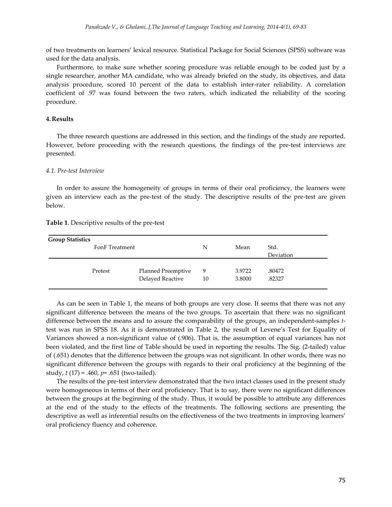of two treatments on learners' lexical resource. Statistical Package for Social Sciences (SPSS) software was used for the data analysis.

Furthermore, to make sure whether scoring procedure was reliable enough to be coded just by a single researcher, another MA candidate, who was already briefed on the study, its objectives, and data analysis procedure, scored 10 percent of the data to establish inter-rater reliability. A correlation coefficient of .97 was found between the two raters, which indicated the reliability of the scoring procedure.

## **4. Results**

The three research questions are addressed in this section, and the findings of the study are reported. However, before proceeding with the research questions, the findings of the pre-test interviews are presented.

#### *4.1. Pre-test Interview*

In order to assure the homogeneity of groups in terms of their oral proficiency, the learners were given an interview each as the pre-test of the study. The descriptive results of the pre-test are given below.

#### **Table 1**. Descriptive results of the pre-test

| <b>Group Statistics</b> | FonF Treatment |                                        | N       | Mean             | Std.<br>Deviation |
|-------------------------|----------------|----------------------------------------|---------|------------------|-------------------|
|                         | Pretest        | Planned Preemptive<br>Delayed Reactive | 9<br>10 | 3.9722<br>3.8000 | .80472<br>.82327  |

As can be seen in Table 1, the means of both groups are very close. It seems that there was not any significant difference between the means of the two groups. To ascertain that there was no significant difference between the means and to assure the comparability of the groups, an independent-samples *t*test was run in SPSS 18. As it is demonstrated in Table 2, the result of Levene's Test for Equality of Variances showed a non-significant value of (.906). That is, the assumption of equal variances has not been violated, and the first line of Table should be used in reporting the results. The Sig. (2-tailed) value of (.651) denotes that the difference between the groups was not significant. In other words, there was no significant difference between the groups with regards to their oral proficiency at the beginning of the study, *t* (17) = .460, *p*= .651 (two-tailed).

The results of the pre-test interview demonstrated that the two intact classes used in the present study were homogeneous in terms of their oral proficiency. That is to say, there were no significant differences between the groups at the beginning of the study. Thus, it would be possible to attribute any differences at the end of the study to the effects of the treatments. The following sections are presenting the descriptive as well as inferential results on the effectiveness of the two treatments in improving learners' oral proficiency fluency and coherence.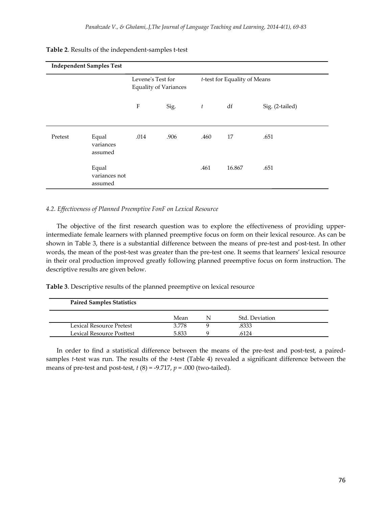# **Table 2**. Results of the independent-samples t-test

|         | <b>Independent Samples Test</b>   |                                                   |      |                  |                              |                 |
|---------|-----------------------------------|---------------------------------------------------|------|------------------|------------------------------|-----------------|
|         |                                   | Levene's Test for<br><b>Equality of Variances</b> |      |                  | t-test for Equality of Means |                 |
|         |                                   | $\boldsymbol{\mathrm{F}}$                         | Sig. | $\boldsymbol{t}$ | df                           | Sig. (2-tailed) |
| Pretest | Equal<br>variances<br>assumed     | .014                                              | .906 | .460             | 17                           | .651            |
|         | Equal<br>variances not<br>assumed |                                                   |      | .461             | 16.867                       | .651            |

# *4.2. Effectiveness of Planned Preemptive FonF on Lexical Resource*

The objective of the first research question was to explore the effectiveness of providing upperintermediate female learners with planned preemptive focus on form on their lexical resource. As can be shown in Table 3, there is a substantial difference between the means of pre-test and post-test. In other words, the mean of the post-test was greater than the pre-test one. It seems that learners' lexical resource in their oral production improved greatly following planned preemptive focus on form instruction. The descriptive results are given below.

**Table 3**. Descriptive results of the planned preemptive on lexical resource

| <b>Paired Samples Statistics</b> |       |                |  |
|----------------------------------|-------|----------------|--|
|                                  | Mean  | Std. Deviation |  |
| Lexical Resource Pretest         | 3.778 | .8333          |  |
| Lexical Resource Posttest        | 5.833 | .6124          |  |

In order to find a statistical difference between the means of the pre-test and post-test, a pairedsamples *t*-test was run. The results of the *t*-test (Table 4) revealed a significant difference between the means of pre-test and post-test, *t* (8) = -9.717, *p* = .000 (two-tailed).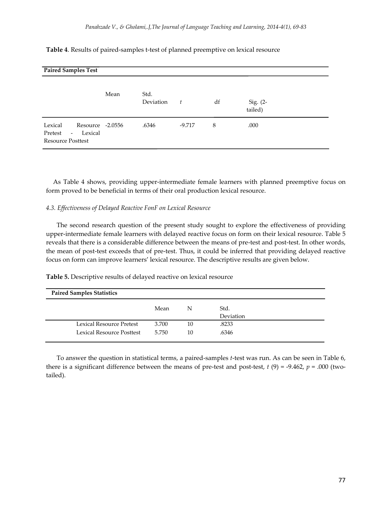| <b>Paired Samples Test</b>                                                                                |      |                   |        |    |                       |  |  |
|-----------------------------------------------------------------------------------------------------------|------|-------------------|--------|----|-----------------------|--|--|
|                                                                                                           | Mean | Std.<br>Deviation | t      | df | Sig. $(2-$<br>tailed) |  |  |
| Lexical<br>Resource -2.0556<br>Lexical<br>Pretest<br>$\overline{\phantom{a}}$<br><b>Resource Posttest</b> |      | .6346             | -9.717 | 8  | .000                  |  |  |

**Table 4**. Results of paired-samples t-test of planned preemptive on lexical resource

As Table 4 shows, providing upper-intermediate female learners with planned preemptive focus on form proved to be beneficial in terms of their oral production lexical resource.

## *4.3. Effectiveness of Delayed Reactive FonF on Lexical Resource*

The second research question of the present study sought to explore the effectiveness of providing upper-intermediate female learners with delayed reactive focus on form on their lexical resource. Table 5 reveals that there is a considerable difference between the means of pre-test and post-test. In other words, the mean of post-test exceeds that of pre-test. Thus, it could be inferred that providing delayed reactive focus on form can improve learners' lexical resource. The descriptive results are given below.

**Table 5.** Descriptive results of delayed reactive on lexical resource

| <b>Paired Samples Statistics</b> |       |    |           |  |  |  |  |
|----------------------------------|-------|----|-----------|--|--|--|--|
|                                  | Mean  | N  | Std.      |  |  |  |  |
|                                  |       |    | Deviation |  |  |  |  |
| Lexical Resource Pretest         | 3.700 | 10 | .8233     |  |  |  |  |
| Lexical Resource Posttest        | 5.750 | 10 | .6346     |  |  |  |  |
|                                  |       |    |           |  |  |  |  |

To answer the question in statistical terms, a paired-samples *t*-test was run. As can be seen in Table 6, there is a significant difference between the means of pre-test and post-test,  $t(9) = -9.462$ ,  $p = .000$  (twotailed).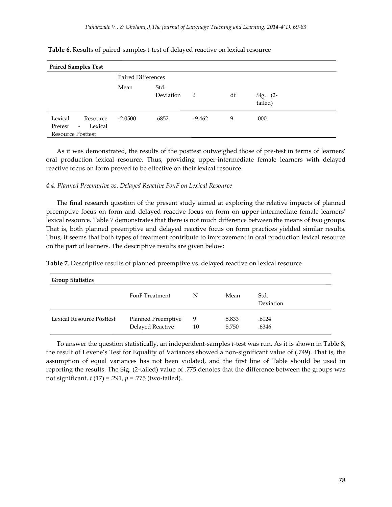| <b>Paired Samples Test</b>                                                                        |                           |                   |          |    |                     |  |  |
|---------------------------------------------------------------------------------------------------|---------------------------|-------------------|----------|----|---------------------|--|--|
|                                                                                                   | <b>Paired Differences</b> |                   |          |    |                     |  |  |
|                                                                                                   | Mean                      | Std.<br>Deviation | ŧ.       | df | Sig. (2-<br>tailed) |  |  |
| Lexical<br>Resource<br>Lexical<br>Pretest<br>$\overline{\phantom{a}}$<br><b>Resource Posttest</b> | $-2.0500$                 | .6852             | $-9.462$ | 9  | .000                |  |  |

## **Table 6.** Results of paired-samples t-test of delayed reactive on lexical resource

As it was demonstrated, the results of the posttest outweighed those of pre-test in terms of learners' oral production lexical resource. Thus, providing upper-intermediate female learners with delayed reactive focus on form proved to be effective on their lexical resource.

## *4.4. Planned Preemptive vs. Delayed Reactive FonF on Lexical Resource*

The final research question of the present study aimed at exploring the relative impacts of planned preemptive focus on form and delayed reactive focus on form on upper-intermediate female learners' lexical resource. Table 7 demonstrates that there is not much difference between the means of two groups. That is, both planned preemptive and delayed reactive focus on form practices yielded similar results. Thus, it seems that both types of treatment contribute to improvement in oral production lexical resource on the part of learners. The descriptive results are given below:

**Table 7**. Descriptive results of planned preemptive vs. delayed reactive on lexical resource

| <b>Group Statistics</b>   |                                        |         |                |                   |  |  |
|---------------------------|----------------------------------------|---------|----------------|-------------------|--|--|
|                           | FonF Treatment                         | N       | Mean           | Std.<br>Deviation |  |  |
| Lexical Resource Posttest | Planned Preemptive<br>Delayed Reactive | 9<br>10 | 5.833<br>5.750 | .6124<br>.6346    |  |  |

To answer the question statistically, an independent-samples *t*-test was run. As it is shown in Table 8, the result of Levene's Test for Equality of Variances showed a non-significant value of (.749). That is, the assumption of equal variances has not been violated, and the first line of Table should be used in reporting the results. The Sig. (2-tailed) value of .775 denotes that the difference between the groups was not significant, *t* (17) = .291, *p* = .775 (two-tailed).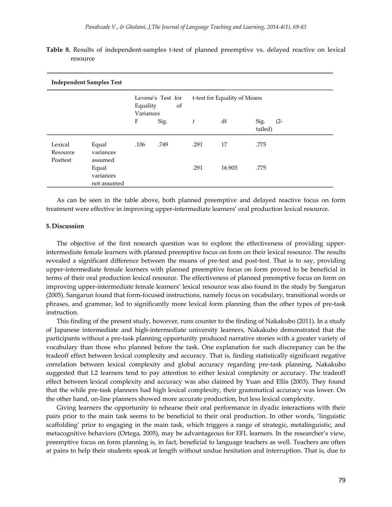| <b>Independent Samples Test</b> |                                   |                                                  |      |                              |        |                           |  |  |
|---------------------------------|-----------------------------------|--------------------------------------------------|------|------------------------------|--------|---------------------------|--|--|
|                                 |                                   | Levene's Test for<br>Equality<br>of<br>Variances |      | t-test for Equality of Means |        |                           |  |  |
|                                 |                                   | F                                                | Sig. | t                            | df     | Sig.<br>$(2 -$<br>tailed) |  |  |
| Lexical<br>Resource<br>Posttest | Equal<br>variances<br>assumed     | .106                                             | .749 | .291                         | 17     | .775                      |  |  |
|                                 | Equal<br>variances<br>not assumed |                                                  |      | .291                         | 16.903 | .775                      |  |  |

**Table 8.** Results of independent-samples t-test of planned preemptive vs. delayed reactive on lexical resource

As can be seen in the table above, both planned preemptive and delayed reactive focus on form treatment were effective in improving upper-intermediate learners' oral production lexical resource.

# **5. Discussion**

The objective of the first research question was to explore the effectiveness of providing upperintermediate female learners with planned preemptive focus on form on their lexical resource. The results revealed a significant difference between the means of pre-test and post-test. That is to say, providing upper-intermediate female learners with planned preemptive focus on form proved to be beneficial in terms of their oral production lexical resource. The effectiveness of planned preemptive focus on form on improving upper-intermediate female learners' lexical resource was also found in the study by Sangarun (2005). Sangarun found that form-focused instructions, namely focus on vocabulary, transitional words or phrases, and grammar, led to significantly more lexical form planning than the other types of pre-task instruction.

This finding of the present study, however, runs counter to the finding of Nakakubo (2011). In a study of Japanese intermediate and high-intermediate university learners, Nakakubo demonstrated that the participants without a pre-task planning opportunity produced narrative stories with a greater variety of vocabulary than those who planned before the task. One explanation for such discrepancy can be the tradeoff effect between lexical complexity and accuracy. That is, finding statistically significant negative correlation between lexical complexity and global accuracy regarding pre-task planning, Nakakubo suggested that L2 learners tend to pay attention to either lexical complexity or accuracy. The tradeoff effect between lexical complexity and accuracy was also claimed by Yuan and Ellis (2003). They found that the while pre-task planners had high lexical complexity, their grammatical accuracy was lower. On the other hand, on-line planners showed more accurate production, but less lexical complexity.

Giving learners the opportunity to rehearse their oral performance in dyadic interactions with their pairs prior to the main task seems to be beneficial to their oral production. In other words, 'linguistic scaffolding' prior to engaging in the main task, which triggers a range of strategic, metalinguistic, and metacognitive behaviors (Ortega, 2005), may be advantageous for EFL learners. In the researcher's view, preemptive focus on form planning is, in fact, beneficial to language teachers as well. Teachers are often at pains to help their students speak at length without undue hesitation and interruption. That is, due to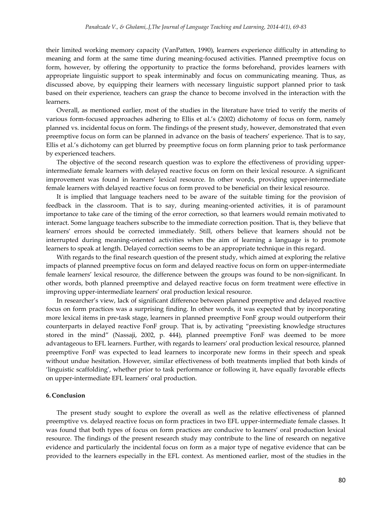their limited working memory capacity (VanPatten, 1990), learners experience difficulty in attending to meaning and form at the same time during meaning-focused activities. Planned preemptive focus on form, however, by offering the opportunity to practice the forms beforehand, provides learners with appropriate linguistic support to speak interminably and focus on communicating meaning. Thus, as discussed above, by equipping their learners with necessary linguistic support planned prior to task based on their experience, teachers can grasp the chance to become involved in the interaction with the learners.

Overall, as mentioned earlier, most of the studies in the literature have tried to verify the merits of various form-focused approaches adhering to Ellis et al.'s (2002) dichotomy of focus on form, namely planned vs. incidental focus on form. The findings of the present study, however, demonstrated that even preemptive focus on form can be planned in advance on the basis of teachers' experience. That is to say, Ellis et al.'s dichotomy can get blurred by preemptive focus on form planning prior to task performance by experienced teachers.

The objective of the second research question was to explore the effectiveness of providing upperintermediate female learners with delayed reactive focus on form on their lexical resource. A significant improvement was found in learners' lexical resource. In other words, providing upper-intermediate female learners with delayed reactive focus on form proved to be beneficial on their lexical resource.

It is implied that language teachers need to be aware of the suitable timing for the provision of feedback in the classroom. That is to say, during meaning-oriented activities, it is of paramount importance to take care of the timing of the error correction, so that learners would remain motivated to interact. Some language teachers subscribe to the immediate correction position. That is, they believe that learners' errors should be corrected immediately. Still, others believe that learners should not be interrupted during meaning-oriented activities when the aim of learning a language is to promote learners to speak at length. Delayed correction seems to be an appropriate technique in this regard.

With regards to the final research question of the present study, which aimed at exploring the relative impacts of planned preemptive focus on form and delayed reactive focus on form on upper-intermediate female learners' lexical resource, the difference between the groups was found to be non-significant. In other words, both planned preemptive and delayed reactive focus on form treatment were effective in improving upper-intermediate learners' oral production lexical resource.

In researcher's view, lack of significant difference between planned preemptive and delayed reactive focus on form practices was a surprising finding. In other words, it was expected that by incorporating more lexical items in pre-task stage, learners in planned preemptive FonF group would outperform their counterparts in delayed reactive FonF group. That is, by activating "preexisting knowledge structures stored in the mind" (Nassaji, 2002, p. 444), planned preemptive FonF was deemed to be more advantageous to EFL learners. Further, with regards to learners' oral production lexical resource, planned preemptive FonF was expected to lead learners to incorporate new forms in their speech and speak without undue hesitation. However, similar effectiveness of both treatments implied that both kinds of 'linguistic scaffolding', whether prior to task performance or following it, have equally favorable effects on upper-intermediate EFL learners' oral production.

## **6. Conclusion**

The present study sought to explore the overall as well as the relative effectiveness of planned preemptive vs. delayed reactive focus on form practices in two EFL upper-intermediate female classes. It was found that both types of focus on form practices are conducive to learners' oral production lexical resource. The findings of the present research study may contribute to the line of research on negative evidence and particularly the incidental focus on form as a major type of negative evidence that can be provided to the learners especially in the EFL context. As mentioned earlier, most of the studies in the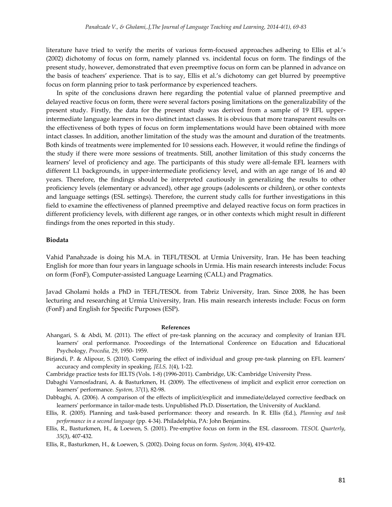literature have tried to verify the merits of various form-focused approaches adhering to Ellis et al.'s (2002) dichotomy of focus on form, namely planned vs. incidental focus on form. The findings of the present study, however, demonstrated that even preemptive focus on form can be planned in advance on the basis of teachers' experience. That is to say, Ellis et al.'s dichotomy can get blurred by preemptive focus on form planning prior to task performance by experienced teachers.

In spite of the conclusions drawn here regarding the potential value of planned preemptive and delayed reactive focus on form, there were several factors posing limitations on the generalizability of the present study. Firstly, the data for the present study was derived from a sample of 19 EFL upperintermediate language learners in two distinct intact classes. It is obvious that more transparent results on the effectiveness of both types of focus on form implementations would have been obtained with more intact classes. In addition, another limitation of the study was the amount and duration of the treatments. Both kinds of treatments were implemented for 10 sessions each. However, it would refine the findings of the study if there were more sessions of treatments. Still, another limitation of this study concerns the learners' level of proficiency and age. The participants of this study were all-female EFL learners with different L1 backgrounds, in upper-intermediate proficiency level, and with an age range of 16 and 40 years. Therefore, the findings should be interpreted cautiously in generalizing the results to other proficiency levels (elementary or advanced), other age groups (adolescents or children), or other contexts and language settings (ESL settings). Therefore, the current study calls for further investigations in this field to examine the effectiveness of planned preemptive and delayed reactive focus on form practices in different proficiency levels, with different age ranges, or in other contexts which might result in different findings from the ones reported in this study.

### **Biodata**

Vahid Panahzade is doing his M.A. in TEFL/TESOL at Urmia University, Iran. He has been teaching English for more than four years in language schools in Urmia. His main research interests include: Focus on form (FonF), Computer-assisted Language Learning (CALL) and Pragmatics.

Javad Gholami holds a PhD in TEFL/TESOL from Tabriz University, Iran. Since 2008, he has been lecturing and researching at Urmia University, Iran. His main research interests include: Focus on form (FonF) and English for Specific Purposes (ESP).

#### **References**

- Ahangari, S. & Abdi, M. (2011). The effect of pre-task planning on the accuracy and complexity of Iranian EFL learners' oral performance. Proceedings of the International Conference on Education and Educational Psychology*, Procedia, 29*, 1950- 1959.
- Birjandi, P. & Alipour, S. (2010). Comparing the effect of individual and group pre-task planning on EFL learners' accuracy and complexity in speaking. *JELS, 1*(4), 1-22.

Cambridge practice tests for IELTS (Vols. 1-8) (1996-2011). Cambridge, UK: Cambridge University Press.

Dabaghi Varnosfadrani, A. & Basturkmen, H. (2009). The effectiveness of implicit and explicit error correction on learners' performance. *System, 37*(1), 82-98.

Dabbaghi, A. (2006). A comparison of the effects of implicit/explicit and immediate/delayed corrective feedback on learners' performance in tailor-made tests. Unpublished Ph.D. Dissertation, the University of Auckland.

Ellis, R. (2005). Planning and task-based performance: theory and research. In R. Ellis (Ed.), *Planning and task performance in a second language* (pp. 4-34). Philadelphia, PA: John Benjamins.

Ellis, R., Basturkmen, H., & Loewen, S. (2001). Pre-emptive focus on form in the ESL classroom. *TESOL Quarterly*, *35*(3), 407-432.

Ellis, R., Basturkmen, H., & Loewen, S. (2002). Doing focus on form. *System, 30*(4), 419-432.